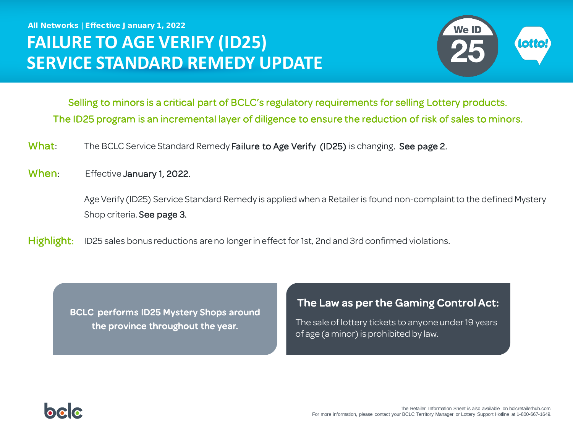All Networks | Effective January 1, 2022

# **FAILURE TO AGE VERIFY (ID25) SERVICE STANDARD REMEDY UPDATE**



Selling to minors is a critical part of BCLC's regulatory requirements for selling Lottery products. The ID25 program is an incremental layer of diligence to ensure the reduction of risk of sales to minors.

- What: The BCLC Service Standard Remedy Failure to Age Verify (ID25) is changing. See page 2.
- When: Effective January 1, 2022.

Age Verify (ID25) Service Standard Remedy is applied when a Retailer is found non-complaint to the defined Mystery Shop criteria. See page 3.

Highlight: ID25 sales bonus reductions are no longer in effect for 1st, 2nd and 3rd confirmed violations.

BCLC performs ID25 Mystery Shops around the province throughout the year.

minors.

#### The Law as per the Gaming Control Act:

The sale of lottery tickets to anyone under 19 years of age (a minor) is prohibited by law.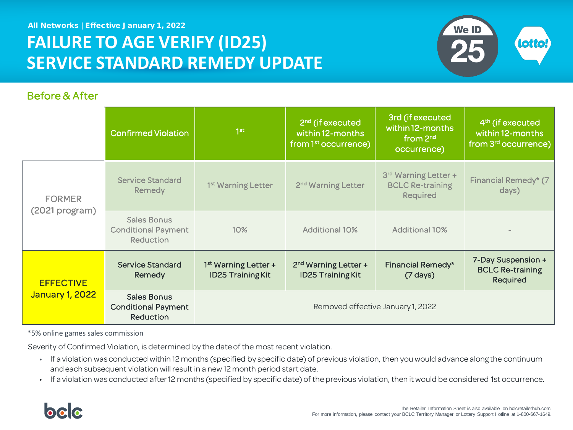All Networks | Effective January 1, 2022

# **FAILURE TO AGE VERIFY (ID25) SERVICE STANDARD REMEDY UPDATE**



#### Before & After

|                                            | <b>Confirmed Violation</b>                                           | 1 <sup>st</sup>                                    | 2 <sup>nd</sup> (if executed<br>within 12-months<br>from 1 <sup>st</sup> occurrence) | 3rd (if executed<br>within 12-months<br>from 2 <sup>nd</sup><br>occurrence) | 4 <sup>th</sup> (if executed<br>within 12-months<br>from 3 <sup>rd</sup> occurrence) |
|--------------------------------------------|----------------------------------------------------------------------|----------------------------------------------------|--------------------------------------------------------------------------------------|-----------------------------------------------------------------------------|--------------------------------------------------------------------------------------|
| <b>FORMER</b><br>(2021 program)            | <b>Service Standard</b><br>Remedy                                    | 1 <sup>st</sup> Warning Letter                     | 2 <sup>nd</sup> Warning Letter                                                       | 3rd Warning Letter +<br><b>BCLC Re-training</b><br><b>Required</b>          | Financial Remedy* (7<br>days)                                                        |
|                                            | <b>Sales Bonus</b><br><b>Conditional Payment</b><br><b>Reduction</b> | 10%                                                | <b>Additional 10%</b>                                                                | <b>Additional 10%</b>                                                       |                                                                                      |
| <b>EFFECTIVE</b><br><b>January 1, 2022</b> | <b>Service Standard</b><br>Remedy                                    | $1st$ Warning Letter +<br><b>ID25 Training Kit</b> | 2 <sup>nd</sup> Warning Letter +<br><b>ID25 Training Kit</b>                         | Financial Remedy*<br>$(7 \text{ days})$                                     | 7-Day Suspension +<br><b>BCLC Re-training</b><br>Required                            |
|                                            | <b>Sales Bonus</b><br><b>Conditional Payment</b><br><b>Reduction</b> | Removed effective January 1, 2022                  |                                                                                      |                                                                             |                                                                                      |

\*5% online games sales commission

Severity of Confirmed Violation, is determined by the date of the most recent violation.

- If a violation was conducted within 12 months (specified by specific date) of previous violation, then you would advance along the continuum and each subsequent violation will result in a new 12 month period start date.
- If a violation was conducted after 12 months (specified by specific date) of the previous violation, then it would be considered 1st occurrence.